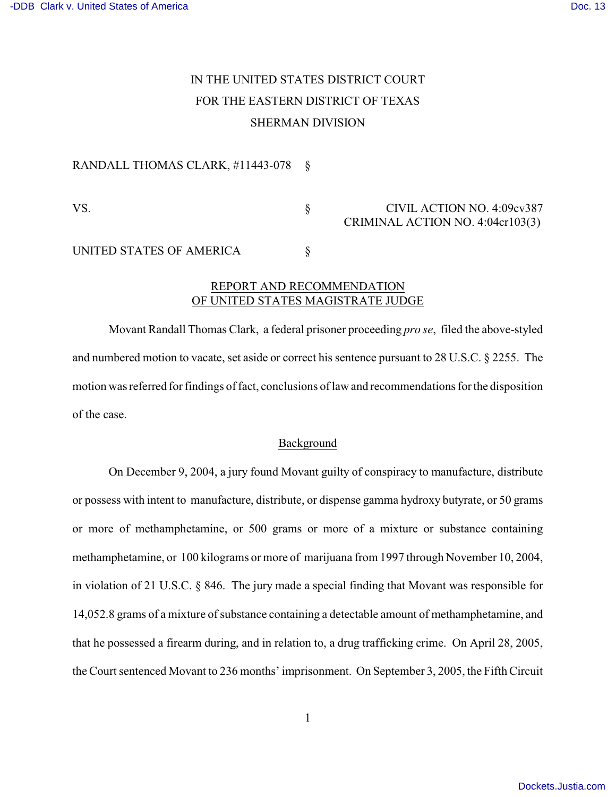# IN THE UNITED STATES DISTRICT COURT FOR THE EASTERN DISTRICT OF TEXAS SHERMAN DIVISION

#### RANDALL THOMAS CLARK, #11443-078 §

VS. S S CIVIL ACTION NO. 4:09cv387 CRIMINAL ACTION NO. 4:04cr103(3)

# UNITED STATES OF AMERICA  $\S$

# REPORT AND RECOMMENDATION OF UNITED STATES MAGISTRATE JUDGE

Movant Randall Thomas Clark, a federal prisoner proceeding *pro se*, filed the above-styled and numbered motion to vacate, set aside or correct his sentence pursuant to 28 U.S.C. § 2255. The motion was referred for findings of fact, conclusions of law and recommendations for the disposition of the case.

## Background

On December 9, 2004, a jury found Movant guilty of conspiracy to manufacture, distribute or possess with intent to manufacture, distribute, or dispense gamma hydroxy butyrate, or 50 grams or more of methamphetamine, or 500 grams or more of a mixture or substance containing methamphetamine, or 100 kilograms or more of marijuana from 1997 through November 10, 2004, in violation of 21 U.S.C. § 846. The jury made a special finding that Movant was responsible for 14,052.8 grams of a mixture of substance containing a detectable amount of methamphetamine, and that he possessed a firearm during, and in relation to, a drug trafficking crime. On April 28, 2005, the Court sentenced Movant to 236 months' imprisonment. On September 3, 2005, the Fifth Circuit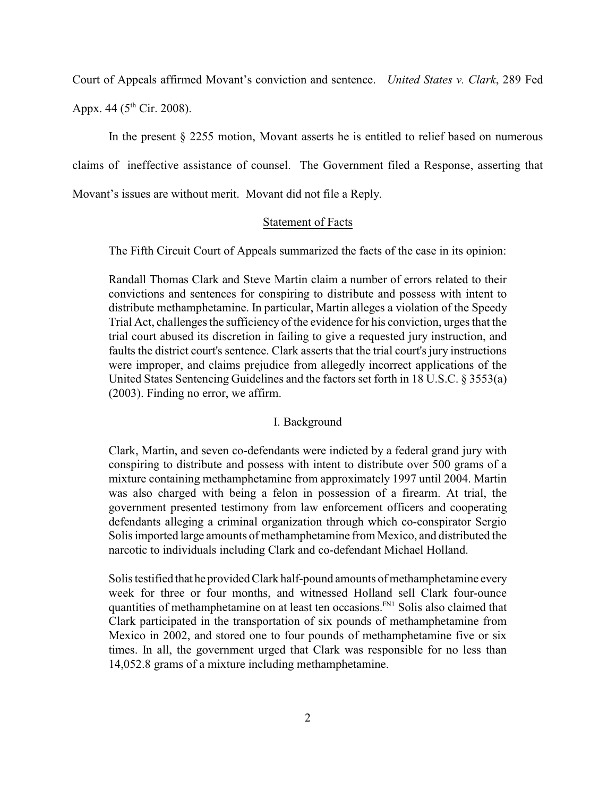Court of Appeals affirmed Movant's conviction and sentence. *United States v. Clark*, 289 Fed

Appx. 44 ( $5^{th}$  Cir. 2008).

In the present § 2255 motion, Movant asserts he is entitled to relief based on numerous claims of ineffective assistance of counsel. The Government filed a Response, asserting that Movant's issues are without merit. Movant did not file a Reply.

## Statement of Facts

The Fifth Circuit Court of Appeals summarized the facts of the case in its opinion:

Randall Thomas Clark and Steve Martin claim a number of errors related to their convictions and sentences for conspiring to distribute and possess with intent to distribute methamphetamine. In particular, Martin alleges a violation of the Speedy Trial Act, challenges the sufficiency of the evidence for his conviction, urges that the trial court abused its discretion in failing to give a requested jury instruction, and faults the district court's sentence. Clark asserts that the trial court's jury instructions were improper, and claims prejudice from allegedly incorrect applications of the United States Sentencing Guidelines and the factors set forth in 18 U.S.C. § 3553(a) (2003). Finding no error, we affirm.

#### I. Background

Clark, Martin, and seven co-defendants were indicted by a federal grand jury with conspiring to distribute and possess with intent to distribute over 500 grams of a mixture containing methamphetamine from approximately 1997 until 2004. Martin was also charged with being a felon in possession of a firearm. At trial, the government presented testimony from law enforcement officers and cooperating defendants alleging a criminal organization through which co-conspirator Sergio Solisimported large amounts of methamphetamine from Mexico, and distributed the narcotic to individuals including Clark and co-defendant Michael Holland.

Solistestified that he provided Clark half-pound amounts of methamphetamine every week for three or four months, and witnessed Holland sell Clark four-ounce quantities of methamphetamine on at least ten occasions.<sup>FN1</sup> Solis also claimed that Clark participated in the transportation of six pounds of methamphetamine from Mexico in 2002, and stored one to four pounds of methamphetamine five or six times. In all, the government urged that Clark was responsible for no less than 14,052.8 grams of a mixture including methamphetamine.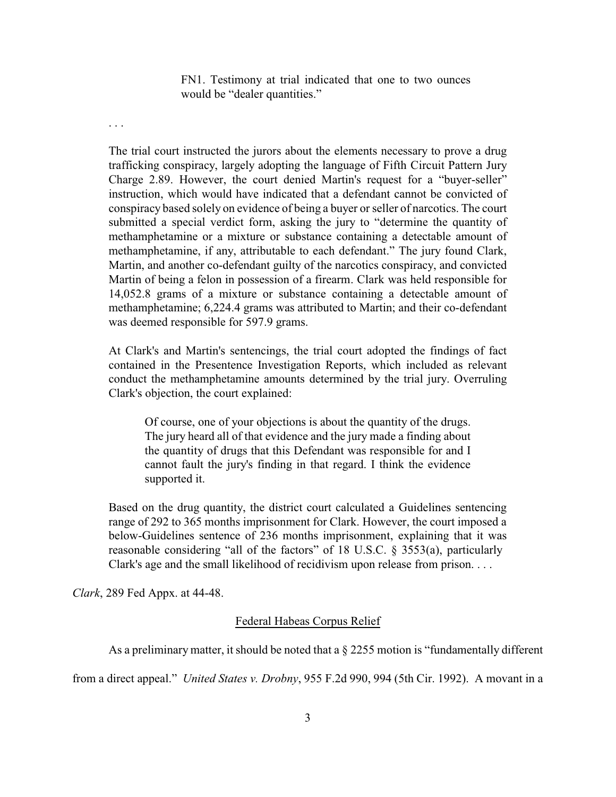FN1. Testimony at trial indicated that one to two ounces would be "dealer quantities."

. . .

The trial court instructed the jurors about the elements necessary to prove a drug trafficking conspiracy, largely adopting the language of Fifth Circuit Pattern Jury Charge 2.89. However, the court denied Martin's request for a "buyer-seller" instruction, which would have indicated that a defendant cannot be convicted of conspiracy based solely on evidence of being a buyer or seller of narcotics. The court submitted a special verdict form, asking the jury to "determine the quantity of methamphetamine or a mixture or substance containing a detectable amount of methamphetamine, if any, attributable to each defendant." The jury found Clark, Martin, and another co-defendant guilty of the narcotics conspiracy, and convicted Martin of being a felon in possession of a firearm. Clark was held responsible for 14,052.8 grams of a mixture or substance containing a detectable amount of methamphetamine; 6,224.4 grams was attributed to Martin; and their co-defendant was deemed responsible for 597.9 grams.

At Clark's and Martin's sentencings, the trial court adopted the findings of fact contained in the Presentence Investigation Reports, which included as relevant conduct the methamphetamine amounts determined by the trial jury. Overruling Clark's objection, the court explained:

Of course, one of your objections is about the quantity of the drugs. The jury heard all of that evidence and the jury made a finding about the quantity of drugs that this Defendant was responsible for and I cannot fault the jury's finding in that regard. I think the evidence supported it.

Based on the drug quantity, the district court calculated a Guidelines sentencing range of 292 to 365 months imprisonment for Clark. However, the court imposed a below-Guidelines sentence of 236 months imprisonment, explaining that it was reasonable considering "all of the factors" of 18 U.S.C. § 3553(a), particularly Clark's age and the small likelihood of recidivism upon release from prison. . . .

*Clark*, 289 Fed Appx. at 44-48.

## Federal Habeas Corpus Relief

As a preliminary matter, it should be noted that a  $\S 2255$  motion is "fundamentally different

from a direct appeal." *United States v. Drobny*, 955 F.2d 990, 994 (5th Cir. 1992). A movant in a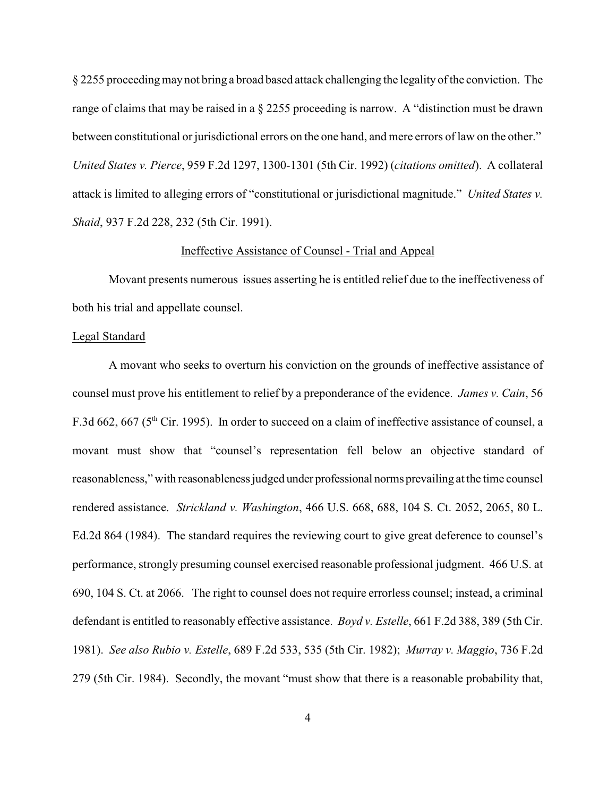§ 2255 proceedingmay not bring a broad based attack challenging the legality of the conviction. The range of claims that may be raised in a § 2255 proceeding is narrow. A "distinction must be drawn between constitutional or jurisdictional errors on the one hand, and mere errors of law on the other." *United States v. Pierce*, 959 F.2d 1297, 1300-1301 (5th Cir. 1992) (*citations omitted*). A collateral attack is limited to alleging errors of "constitutional or jurisdictional magnitude." *United States v. Shaid*, 937 F.2d 228, 232 (5th Cir. 1991).

## Ineffective Assistance of Counsel - Trial and Appeal

Movant presents numerous issues asserting he is entitled relief due to the ineffectiveness of both his trial and appellate counsel.

#### Legal Standard

A movant who seeks to overturn his conviction on the grounds of ineffective assistance of counsel must prove his entitlement to relief by a preponderance of the evidence. *James v. Cain*, 56 F.3d 662, 667 ( $5<sup>th</sup>$  Cir. 1995). In order to succeed on a claim of ineffective assistance of counsel, a movant must show that "counsel's representation fell below an objective standard of reasonableness," with reasonableness judged under professional norms prevailing at the time counsel rendered assistance. *Strickland v. Washington*, 466 U.S. 668, 688, 104 S. Ct. 2052, 2065, 80 L. Ed.2d 864 (1984). The standard requires the reviewing court to give great deference to counsel's performance, strongly presuming counsel exercised reasonable professional judgment. 466 U.S. at 690, 104 S. Ct. at 2066. The right to counsel does not require errorless counsel; instead, a criminal defendant is entitled to reasonably effective assistance. *Boyd v. Estelle*, 661 F.2d 388, 389 (5th Cir. 1981). *See also Rubio v. Estelle*, 689 F.2d 533, 535 (5th Cir. 1982); *Murray v. Maggio*, 736 F.2d 279 (5th Cir. 1984). Secondly, the movant "must show that there is a reasonable probability that,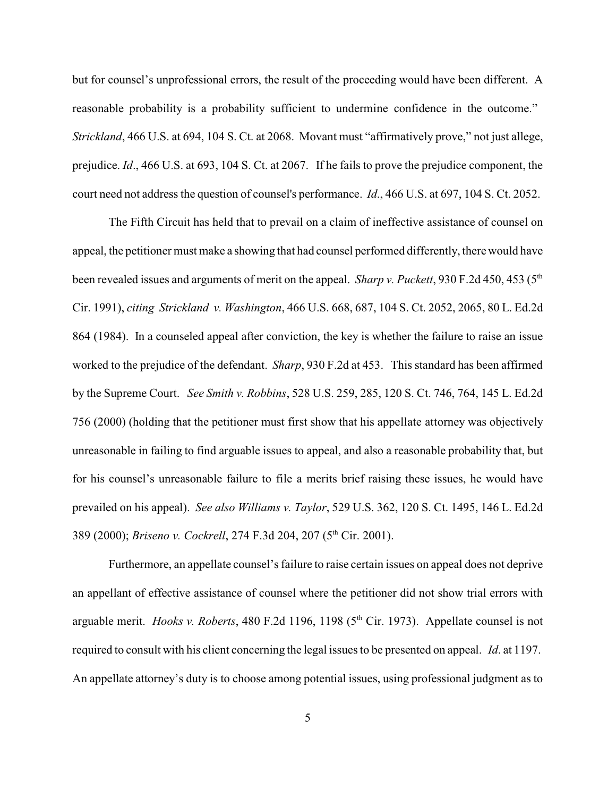but for counsel's unprofessional errors, the result of the proceeding would have been different. A reasonable probability is a probability sufficient to undermine confidence in the outcome." *Strickland*, 466 U.S. at 694, 104 S. Ct. at 2068. Movant must "affirmatively prove," not just allege, prejudice. *Id*., 466 U.S. at 693, 104 S. Ct. at 2067. If he fails to prove the prejudice component, the court need not address the question of counsel's performance. *Id*., 466 U.S. at 697, 104 S. Ct. 2052.

The Fifth Circuit has held that to prevail on a claim of ineffective assistance of counsel on appeal, the petitioner must make a showing that had counsel performed differently, there would have been revealed issues and arguments of merit on the appeal. *Sharp v. Puckett*, 930 F.2d 450, 453 (5<sup>th</sup>) Cir. 1991), *citing Strickland v. Washington*, 466 U.S. 668, 687, 104 S. Ct. 2052, 2065, 80 L. Ed.2d 864 (1984). In a counseled appeal after conviction, the key is whether the failure to raise an issue worked to the prejudice of the defendant. *Sharp*, 930 F.2d at 453. This standard has been affirmed by the Supreme Court. *See Smith v. Robbins*, 528 U.S. 259, 285, 120 S. Ct. 746, 764, 145 L. Ed.2d 756 (2000) (holding that the petitioner must first show that his appellate attorney was objectively unreasonable in failing to find arguable issues to appeal, and also a reasonable probability that, but for his counsel's unreasonable failure to file a merits brief raising these issues, he would have prevailed on his appeal). *See also Williams v. Taylor*, 529 U.S. 362, 120 S. Ct. 1495, 146 L. Ed.2d 389 (2000); *Briseno v. Cockrell*, 274 F.3d 204, 207 (5<sup>th</sup> Cir. 2001).

Furthermore, an appellate counsel's failure to raise certain issues on appeal does not deprive an appellant of effective assistance of counsel where the petitioner did not show trial errors with arguable merit. *Hooks v. Roberts*, 480 F.2d 1196, 1198 (5<sup>th</sup> Cir. 1973). Appellate counsel is not required to consult with his client concerning the legal issues to be presented on appeal. *Id*. at 1197. An appellate attorney's duty is to choose among potential issues, using professional judgment as to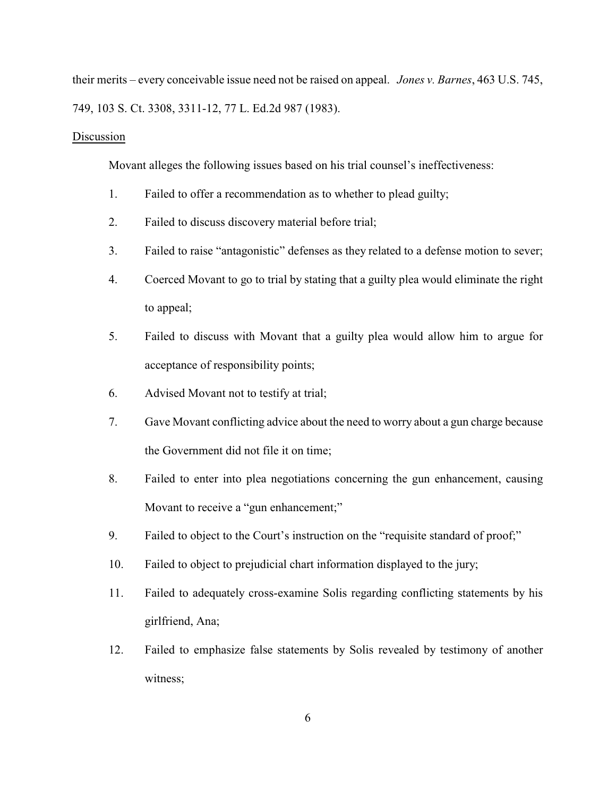their merits – every conceivable issue need not be raised on appeal. *Jones v. Barnes*, 463 U.S. 745, 749, 103 S. Ct. 3308, 3311-12, 77 L. Ed.2d 987 (1983).

#### Discussion

Movant alleges the following issues based on his trial counsel's ineffectiveness:

- 1. Failed to offer a recommendation as to whether to plead guilty;
- 2. Failed to discuss discovery material before trial;
- 3. Failed to raise "antagonistic" defenses as they related to a defense motion to sever;
- 4. Coerced Movant to go to trial by stating that a guilty plea would eliminate the right to appeal;
- 5. Failed to discuss with Movant that a guilty plea would allow him to argue for acceptance of responsibility points;
- 6. Advised Movant not to testify at trial;
- 7. Gave Movant conflicting advice about the need to worry about a gun charge because the Government did not file it on time;
- 8. Failed to enter into plea negotiations concerning the gun enhancement, causing Movant to receive a "gun enhancement;"
- 9. Failed to object to the Court's instruction on the "requisite standard of proof;"
- 10. Failed to object to prejudicial chart information displayed to the jury;
- 11. Failed to adequately cross-examine Solis regarding conflicting statements by his girlfriend, Ana;
- 12. Failed to emphasize false statements by Solis revealed by testimony of another witness;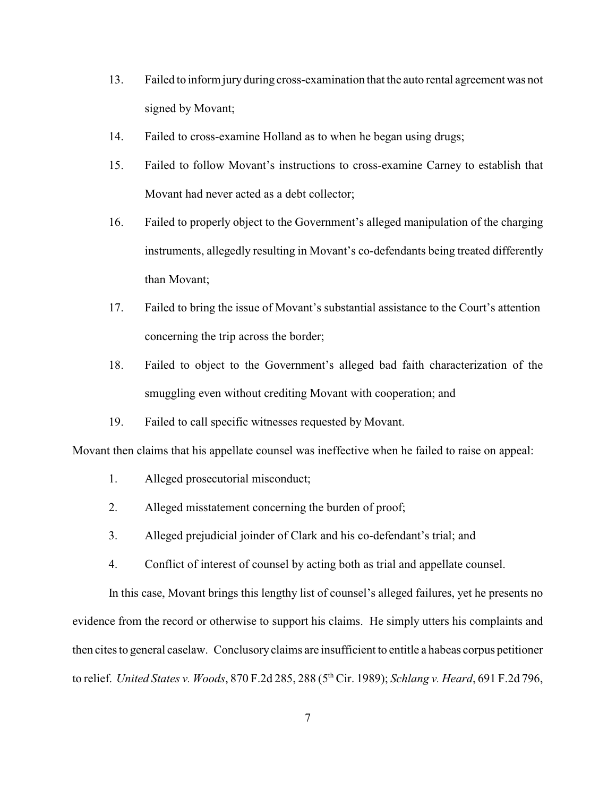- 13. Failed to inform juryduring cross-examination that the auto rental agreement was not signed by Movant;
- 14. Failed to cross-examine Holland as to when he began using drugs;
- 15. Failed to follow Movant's instructions to cross-examine Carney to establish that Movant had never acted as a debt collector;
- 16. Failed to properly object to the Government's alleged manipulation of the charging instruments, allegedly resulting in Movant's co-defendants being treated differently than Movant;
- 17. Failed to bring the issue of Movant's substantial assistance to the Court's attention concerning the trip across the border;
- 18. Failed to object to the Government's alleged bad faith characterization of the smuggling even without crediting Movant with cooperation; and
- 19. Failed to call specific witnesses requested by Movant.

Movant then claims that his appellate counsel was ineffective when he failed to raise on appeal:

- 1. Alleged prosecutorial misconduct;
- 2. Alleged misstatement concerning the burden of proof;
- 3. Alleged prejudicial joinder of Clark and his co-defendant's trial; and
- 4. Conflict of interest of counsel by acting both as trial and appellate counsel.

In this case, Movant brings this lengthy list of counsel's alleged failures, yet he presents no evidence from the record or otherwise to support his claims. He simply utters his complaints and then cites to general caselaw. Conclusory claims are insufficient to entitle a habeas corpus petitioner to relief. *United States v. Woods*, 870 F.2d 285, 288 (5<sup>th</sup> Cir. 1989); *Schlang v. Heard*, 691 F.2d 796,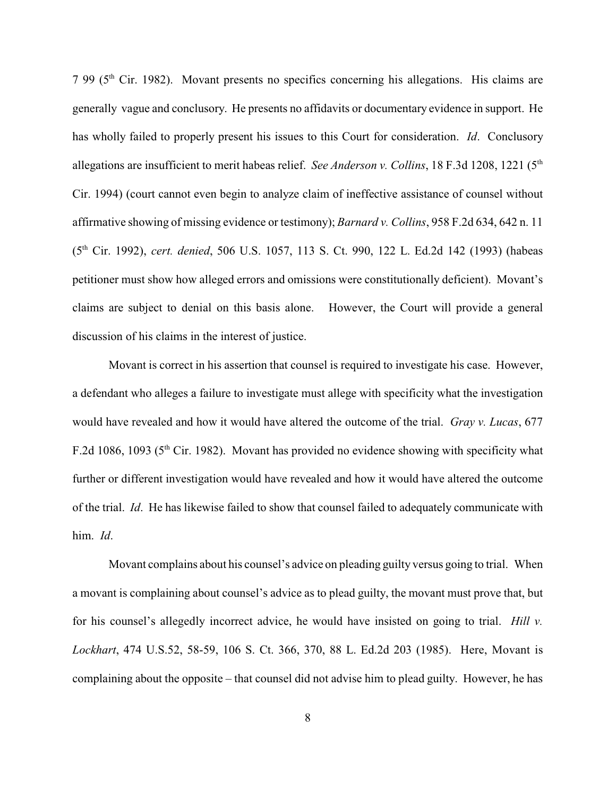$7.99$  ( $5<sup>th</sup>$  Cir. 1982). Movant presents no specifics concerning his allegations. His claims are generally vague and conclusory. He presents no affidavits or documentary evidence in support. He has wholly failed to properly present his issues to this Court for consideration. *Id*. Conclusory allegations are insufficient to merit habeas relief. *See Anderson v. Collins*, 18 F.3d 1208, 1221 (5<sup>th</sup>) Cir. 1994) (court cannot even begin to analyze claim of ineffective assistance of counsel without affirmative showing of missing evidence or testimony); *Barnard v. Collins*, 958 F.2d 634, 642 n. 11 (5<sup>th</sup> Cir. 1992), *cert. denied*, 506 U.S. 1057, 113 S. Ct. 990, 122 L. Ed.2d 142 (1993) (habeas petitioner must show how alleged errors and omissions were constitutionally deficient). Movant's claims are subject to denial on this basis alone. However, the Court will provide a general discussion of his claims in the interest of justice.

Movant is correct in his assertion that counsel is required to investigate his case. However, a defendant who alleges a failure to investigate must allege with specificity what the investigation would have revealed and how it would have altered the outcome of the trial. *Gray v. Lucas*, 677 F.2d 1086, 1093 ( $5<sup>th</sup>$  Cir. 1982). Movant has provided no evidence showing with specificity what further or different investigation would have revealed and how it would have altered the outcome of the trial. *Id*. He has likewise failed to show that counsel failed to adequately communicate with him. *Id*.

Movant complains about his counsel's advice on pleading guilty versus going to trial. When a movant is complaining about counsel's advice as to plead guilty, the movant must prove that, but for his counsel's allegedly incorrect advice, he would have insisted on going to trial. *Hill v. Lockhart*, 474 U.S.52, 58-59, 106 S. Ct. 366, 370, 88 L. Ed.2d 203 (1985). Here, Movant is complaining about the opposite – that counsel did not advise him to plead guilty. However, he has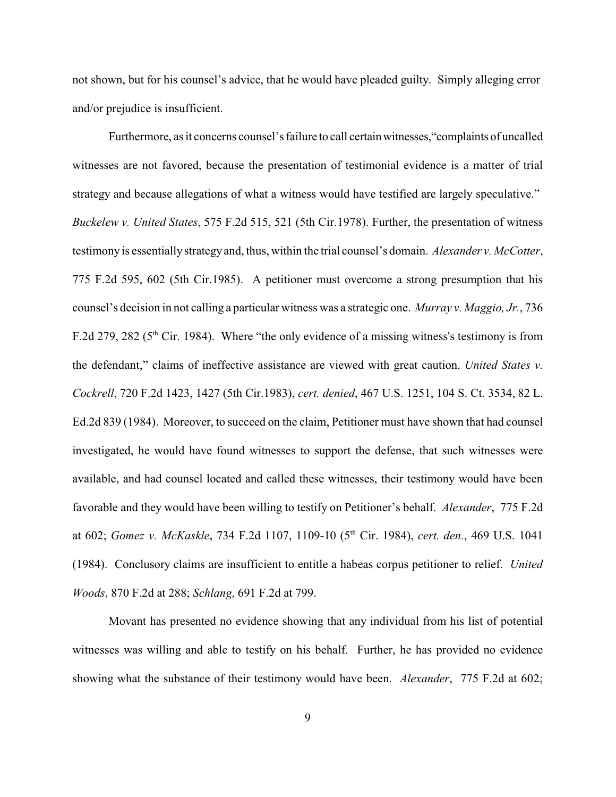not shown, but for his counsel's advice, that he would have pleaded guilty. Simply alleging error and/or prejudice is insufficient.

Furthermore, as it concerns counsel's failure to call certainwitnesses,"complaints of uncalled witnesses are not favored, because the presentation of testimonial evidence is a matter of trial strategy and because allegations of what a witness would have testified are largely speculative." *Buckelew v. United States*, 575 F.2d 515, 521 (5th Cir.1978). Further, the presentation of witness testimony is essentially strategy and, thus, within the trial counsel's domain. *Alexander v. McCotter*, 775 F.2d 595, 602 (5th Cir.1985). A petitioner must overcome a strong presumption that his counsel's decision in not calling a particular witness was a strategic one. *Murray v. Maggio, Jr.*, 736 F.2d 279, 282 ( $5<sup>th</sup>$  Cir. 1984). Where "the only evidence of a missing witness's testimony is from the defendant," claims of ineffective assistance are viewed with great caution. *United States v. Cockrell*, 720 F.2d 1423, 1427 (5th Cir.1983), *cert. denied*, 467 U.S. 1251, 104 S. Ct. 3534, 82 L. Ed.2d 839 (1984). Moreover, to succeed on the claim, Petitioner must have shown that had counsel investigated, he would have found witnesses to support the defense, that such witnesses were available, and had counsel located and called these witnesses, their testimony would have been favorable and they would have been willing to testify on Petitioner's behalf. *Alexander*, 775 F.2d at 602; *Gomez v. McKaskle*, 734 F.2d 1107, 1109-10 (5<sup>th</sup> Cir. 1984), *cert. den.*, 469 U.S. 1041 (1984). Conclusory claims are insufficient to entitle a habeas corpus petitioner to relief. *United Woods*, 870 F.2d at 288; *Schlang*, 691 F.2d at 799.

Movant has presented no evidence showing that any individual from his list of potential witnesses was willing and able to testify on his behalf. Further, he has provided no evidence showing what the substance of their testimony would have been. *Alexander*, 775 F.2d at 602;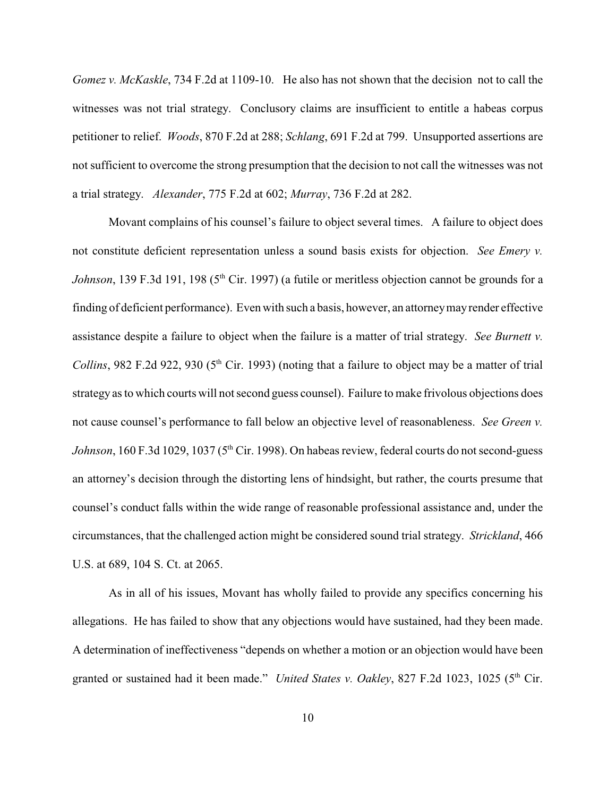*Gomez v. McKaskle*, 734 F.2d at 1109-10. He also has not shown that the decision not to call the witnesses was not trial strategy. Conclusory claims are insufficient to entitle a habeas corpus petitioner to relief. *Woods*, 870 F.2d at 288; *Schlang*, 691 F.2d at 799. Unsupported assertions are not sufficient to overcome the strong presumption that the decision to not call the witnesses was not a trial strategy. *Alexander*, 775 F.2d at 602; *Murray*, 736 F.2d at 282.

Movant complains of his counsel's failure to object several times. A failure to object does not constitute deficient representation unless a sound basis exists for objection. *See Emery v. Johnson*, 139 F.3d 191, 198 (5<sup>th</sup> Cir. 1997) (a futile or meritless objection cannot be grounds for a finding of deficient performance). Even with such a basis, however, an attorneymayrender effective assistance despite a failure to object when the failure is a matter of trial strategy. *See Burnett v. Collins*, 982 F.2d 922, 930 ( $5<sup>th</sup>$  Cir. 1993) (noting that a failure to object may be a matter of trial strategy as to which courts will not second guess counsel). Failure to make frivolous objections does not cause counsel's performance to fall below an objective level of reasonableness. *See Green v. Johnson*, 160 F.3d 1029, 1037 ( $5<sup>th</sup>$  Cir. 1998). On habeas review, federal courts do not second-guess an attorney's decision through the distorting lens of hindsight, but rather, the courts presume that counsel's conduct falls within the wide range of reasonable professional assistance and, under the circumstances, that the challenged action might be considered sound trial strategy. *Strickland*, 466 U.S. at 689, 104 S. Ct. at 2065.

As in all of his issues, Movant has wholly failed to provide any specifics concerning his allegations. He has failed to show that any objections would have sustained, had they been made. A determination of ineffectiveness "depends on whether a motion or an objection would have been granted or sustained had it been made." *United States v. Oakley*, 827 F.2d 1023, 1025 (5<sup>th</sup> Cir.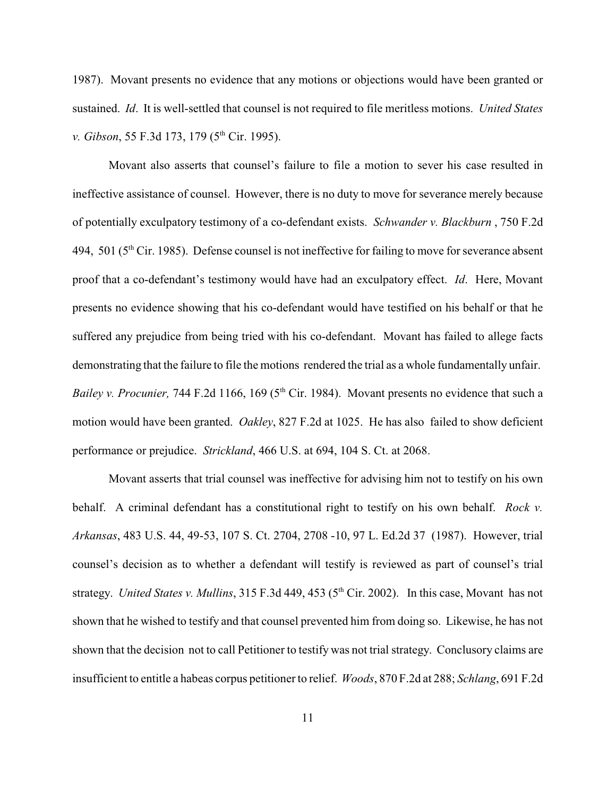1987). Movant presents no evidence that any motions or objections would have been granted or sustained. *Id*. It is well-settled that counsel is not required to file meritless motions. *United States v. Gibson*, 55 F.3d 173, 179 (5<sup>th</sup> Cir. 1995).

Movant also asserts that counsel's failure to file a motion to sever his case resulted in ineffective assistance of counsel. However, there is no duty to move for severance merely because of potentially exculpatory testimony of a co-defendant exists. *Schwander v. Blackburn* , 750 F.2d 494, 501 ( $5<sup>th</sup>$  Cir. 1985). Defense counsel is not ineffective for failing to move for severance absent proof that a co-defendant's testimony would have had an exculpatory effect. *Id*. Here, Movant presents no evidence showing that his co-defendant would have testified on his behalf or that he suffered any prejudice from being tried with his co-defendant. Movant has failed to allege facts demonstrating that the failure to file the motions rendered the trial as a whole fundamentally unfair. *Bailey v. Procunier,* 744 F.2d 1166, 169 (5<sup>th</sup> Cir. 1984). Movant presents no evidence that such a motion would have been granted. *Oakley*, 827 F.2d at 1025. He has also failed to show deficient performance or prejudice. *Strickland*, 466 U.S. at 694, 104 S. Ct. at 2068.

Movant asserts that trial counsel was ineffective for advising him not to testify on his own behalf. A criminal defendant has a constitutional right to testify on his own behalf. *Rock v. Arkansas*, 483 U.S. 44, 49-53, 107 S. Ct. 2704, 2708 -10, 97 L. Ed.2d 37 (1987). However, trial counsel's decision as to whether a defendant will testify is reviewed as part of counsel's trial strategy. *United States v. Mullins*, 315 F.3d 449, 453 (5<sup>th</sup> Cir. 2002). In this case, Movant has not shown that he wished to testify and that counsel prevented him from doing so. Likewise, he has not shown that the decision not to call Petitioner to testify was not trial strategy. Conclusory claims are insufficient to entitle a habeas corpus petitioner to relief. *Woods*, 870 F.2d at 288; *Schlang*, 691 F.2d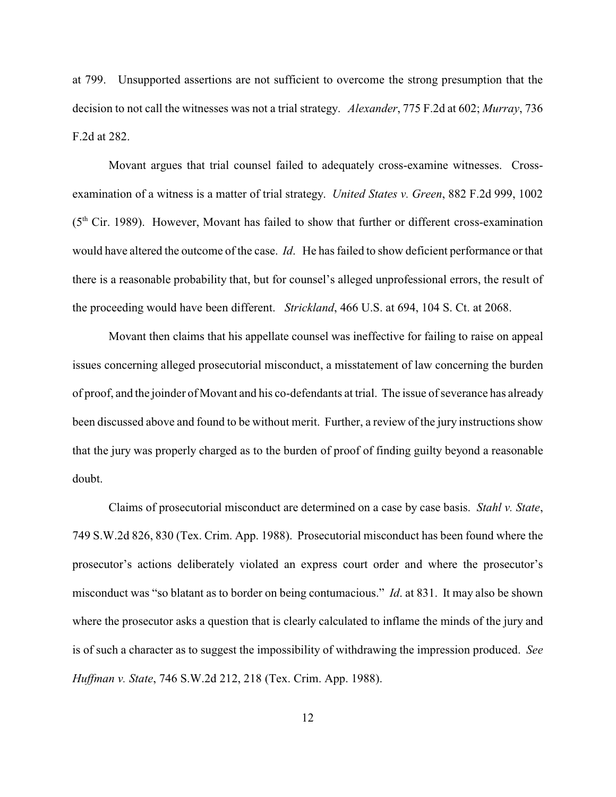at 799. Unsupported assertions are not sufficient to overcome the strong presumption that the decision to not call the witnesses was not a trial strategy. *Alexander*, 775 F.2d at 602; *Murray*, 736 F.2d at 282.

Movant argues that trial counsel failed to adequately cross-examine witnesses. Crossexamination of a witness is a matter of trial strategy. *United States v. Green*, 882 F.2d 999, 1002  $(5<sup>th</sup> Cir. 1989)$ . However, Movant has failed to show that further or different cross-examination would have altered the outcome of the case. *Id*. He has failed to show deficient performance or that there is a reasonable probability that, but for counsel's alleged unprofessional errors, the result of the proceeding would have been different. *Strickland*, 466 U.S. at 694, 104 S. Ct. at 2068.

Movant then claims that his appellate counsel was ineffective for failing to raise on appeal issues concerning alleged prosecutorial misconduct, a misstatement of law concerning the burden of proof, and the joinder of Movant and his co-defendants at trial. The issue of severance has already been discussed above and found to be without merit. Further, a review of the jury instructions show that the jury was properly charged as to the burden of proof of finding guilty beyond a reasonable doubt.

Claims of prosecutorial misconduct are determined on a case by case basis. *Stahl v. State*, 749 S.W.2d 826, 830 (Tex. Crim. App. 1988). Prosecutorial misconduct has been found where the prosecutor's actions deliberately violated an express court order and where the prosecutor's misconduct was "so blatant as to border on being contumacious." *Id*. at 831. It may also be shown where the prosecutor asks a question that is clearly calculated to inflame the minds of the jury and is of such a character as to suggest the impossibility of withdrawing the impression produced. *See Huffman v. State*, 746 S.W.2d 212, 218 (Tex. Crim. App. 1988).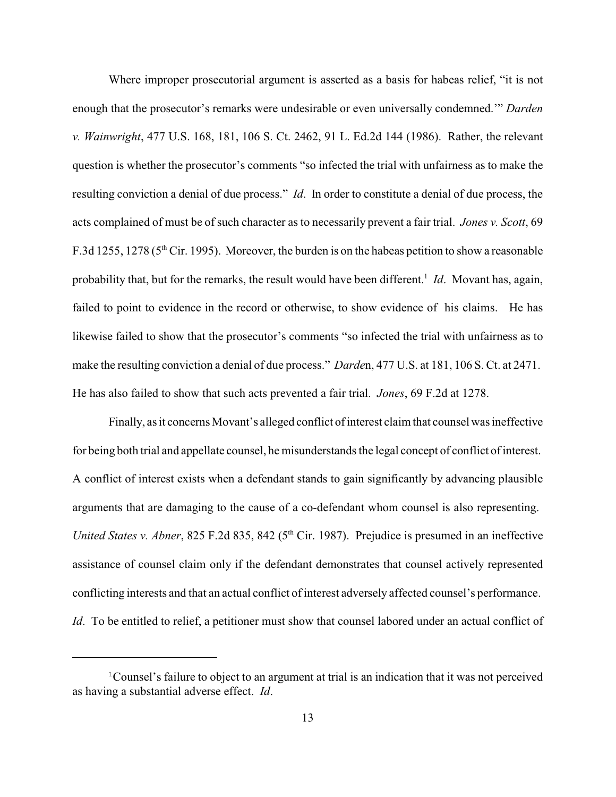Where improper prosecutorial argument is asserted as a basis for habeas relief, "it is not enough that the prosecutor's remarks were undesirable or even universally condemned.'" *Darden v. Wainwright*, 477 U.S. 168, 181, 106 S. Ct. 2462, 91 L. Ed.2d 144 (1986). Rather, the relevant question is whether the prosecutor's comments "so infected the trial with unfairness as to make the resulting conviction a denial of due process." *Id*. In order to constitute a denial of due process, the acts complained of must be of such character as to necessarily prevent a fair trial. *Jones v. Scott*, 69 F.3d 1255, 1278 ( $5<sup>th</sup>$  Cir. 1995). Moreover, the burden is on the habeas petition to show a reasonable probability that, but for the remarks, the result would have been different.<sup>1</sup> Id. Movant has, again, failed to point to evidence in the record or otherwise, to show evidence of his claims. He has likewise failed to show that the prosecutor's comments "so infected the trial with unfairness as to make the resulting conviction a denial of due process." *Darde*n, 477 U.S. at 181, 106 S. Ct. at 2471. He has also failed to show that such acts prevented a fair trial. *Jones*, 69 F.2d at 1278.

Finally, as it concerns Movant's alleged conflict of interest claim that counsel was ineffective for being both trial and appellate counsel, he misunderstands the legal concept of conflict of interest. A conflict of interest exists when a defendant stands to gain significantly by advancing plausible arguments that are damaging to the cause of a co-defendant whom counsel is also representing. *United States v. Abner*, 825 F.2d 835, 842 (5<sup>th</sup> Cir. 1987). Prejudice is presumed in an ineffective assistance of counsel claim only if the defendant demonstrates that counsel actively represented conflicting interests and that an actual conflict of interest adversely affected counsel's performance. *Id*. To be entitled to relief, a petitioner must show that counsel labored under an actual conflict of

<sup>&</sup>lt;sup>1</sup> Counsel's failure to object to an argument at trial is an indication that it was not perceived as having a substantial adverse effect. *Id*.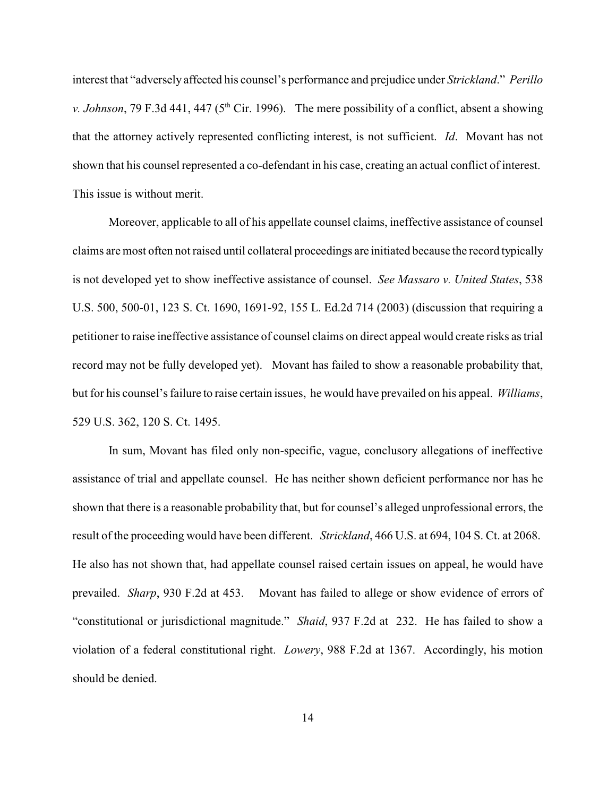interest that "adversely affected his counsel's performance and prejudice under *Strickland*." *Perillo v. Johnson*, 79 F.3d 441, 447 ( $5<sup>th</sup>$  Cir. 1996). The mere possibility of a conflict, absent a showing that the attorney actively represented conflicting interest, is not sufficient. *Id*. Movant has not shown that his counsel represented a co-defendant in his case, creating an actual conflict of interest. This issue is without merit.

Moreover, applicable to all of his appellate counsel claims, ineffective assistance of counsel claims are most often not raised until collateral proceedings are initiated because the record typically is not developed yet to show ineffective assistance of counsel. *See Massaro v. United States*, 538 U.S. 500, 500-01, 123 S. Ct. 1690, 1691-92, 155 L. Ed.2d 714 (2003) (discussion that requiring a petitioner to raise ineffective assistance of counsel claims on direct appeal would create risks as trial record may not be fully developed yet). Movant has failed to show a reasonable probability that, but for his counsel's failure to raise certain issues, he would have prevailed on his appeal. *Williams*, 529 U.S. 362, 120 S. Ct. 1495.

In sum, Movant has filed only non-specific, vague, conclusory allegations of ineffective assistance of trial and appellate counsel. He has neither shown deficient performance nor has he shown that there is a reasonable probability that, but for counsel's alleged unprofessional errors, the result of the proceeding would have been different. *Strickland*, 466 U.S. at 694, 104 S. Ct. at 2068. He also has not shown that, had appellate counsel raised certain issues on appeal, he would have prevailed. *Sharp*, 930 F.2d at 453. Movant has failed to allege or show evidence of errors of "constitutional or jurisdictional magnitude." *Shaid*, 937 F.2d at 232. He has failed to show a violation of a federal constitutional right. *Lowery*, 988 F.2d at 1367. Accordingly, his motion should be denied.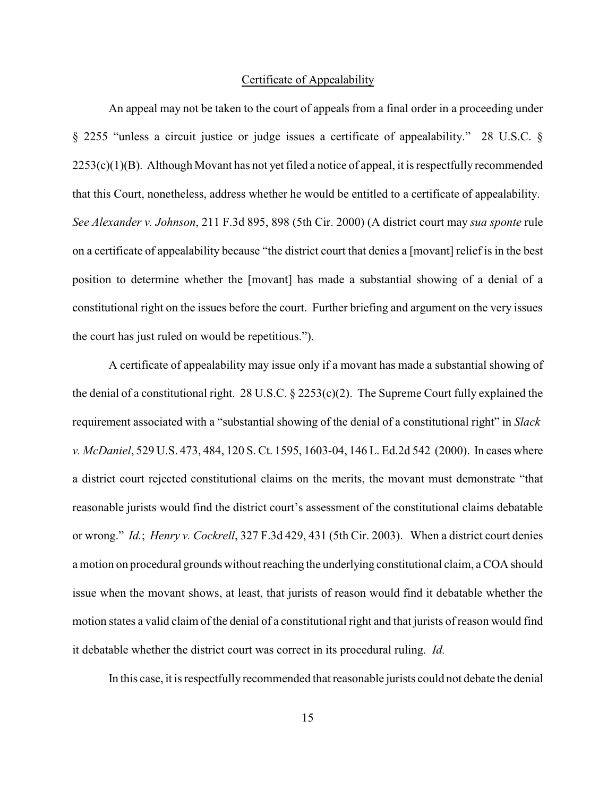#### Certificate of Appealability

An appeal may not be taken to the court of appeals from a final order in a proceeding under § 2255 "unless a circuit justice or judge issues a certificate of appealability." 28 U.S.C. § 2253(c)(1)(B). Although Movant has not yet filed a notice of appeal, it is respectfully recommended that this Court, nonetheless, address whether he would be entitled to a certificate of appealability. *See Alexander v. Johnson*, 211 F.3d 895, 898 (5th Cir. 2000) (A district court may *sua sponte* rule on a certificate of appealability because "the district court that denies a [movant] relief is in the best position to determine whether the [movant] has made a substantial showing of a denial of a constitutional right on the issues before the court. Further briefing and argument on the very issues the court has just ruled on would be repetitious.").

A certificate of appealability may issue only if a movant has made a substantial showing of the denial of a constitutional right. 28 U.S.C.  $\S$  2253(c)(2). The Supreme Court fully explained the requirement associated with a "substantial showing of the denial of a constitutional right" in *Slack v. McDaniel*, 529 U.S. 473, 484, 120 S. Ct. 1595, 1603-04, 146 L. Ed.2d 542 (2000). In cases where a district court rejected constitutional claims on the merits, the movant must demonstrate "that reasonable jurists would find the district court's assessment of the constitutional claims debatable or wrong." *Id.*; *Henry v. Cockrell*, 327 F.3d 429, 431 (5th Cir. 2003). When a district court denies a motion on procedural grounds without reaching the underlying constitutional claim, a COA should issue when the movant shows, at least, that jurists of reason would find it debatable whether the motion states a valid claim of the denial of a constitutional right and that jurists of reason would find it debatable whether the district court was correct in its procedural ruling. *Id.*

In this case, it is respectfully recommended that reasonable jurists could not debate the denial